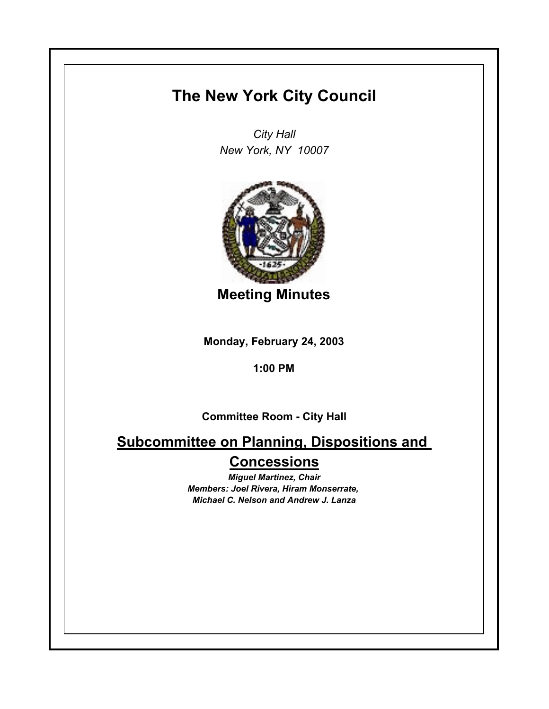## **The New York City Council**

*City Hall New York, NY 10007*



**Meeting Minutes**

**Monday, February 24, 2003**

**1:00 PM**

**Committee Room - City Hall**

**Subcommittee on Planning, Dispositions and Concessions**

> *Miguel Martinez, Chair Members: Joel Rivera, Hiram Monserrate, Michael C. Nelson and Andrew J. Lanza*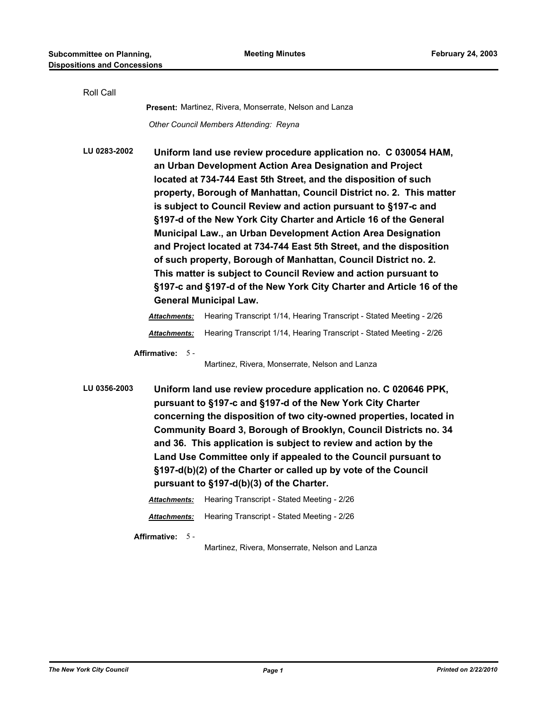| Roll Call    |                                                                                                                                                                                                                                                                                                                                                                                                                                                                                                                                                                                                                                                                                                                                                                                                    |                                                                                                                                                                                                                                                                                                                                                                                                                                                                                                                                                                            |  |
|--------------|----------------------------------------------------------------------------------------------------------------------------------------------------------------------------------------------------------------------------------------------------------------------------------------------------------------------------------------------------------------------------------------------------------------------------------------------------------------------------------------------------------------------------------------------------------------------------------------------------------------------------------------------------------------------------------------------------------------------------------------------------------------------------------------------------|----------------------------------------------------------------------------------------------------------------------------------------------------------------------------------------------------------------------------------------------------------------------------------------------------------------------------------------------------------------------------------------------------------------------------------------------------------------------------------------------------------------------------------------------------------------------------|--|
|              |                                                                                                                                                                                                                                                                                                                                                                                                                                                                                                                                                                                                                                                                                                                                                                                                    | Present: Martinez, Rivera, Monserrate, Nelson and Lanza                                                                                                                                                                                                                                                                                                                                                                                                                                                                                                                    |  |
|              |                                                                                                                                                                                                                                                                                                                                                                                                                                                                                                                                                                                                                                                                                                                                                                                                    | Other Council Members Attending: Reyna                                                                                                                                                                                                                                                                                                                                                                                                                                                                                                                                     |  |
| LU 0283-2002 | Uniform land use review procedure application no. C 030054 HAM,<br>an Urban Development Action Area Designation and Project<br>located at 734-744 East 5th Street, and the disposition of such<br>property, Borough of Manhattan, Council District no. 2. This matter<br>is subject to Council Review and action pursuant to §197-c and<br>§197-d of the New York City Charter and Article 16 of the General<br>Municipal Law., an Urban Development Action Area Designation<br>and Project located at 734-744 East 5th Street, and the disposition<br>of such property, Borough of Manhattan, Council District no. 2.<br>This matter is subject to Council Review and action pursuant to<br>§197-c and §197-d of the New York City Charter and Article 16 of the<br><b>General Municipal Law.</b> |                                                                                                                                                                                                                                                                                                                                                                                                                                                                                                                                                                            |  |
|              | <u>Attachments:</u>                                                                                                                                                                                                                                                                                                                                                                                                                                                                                                                                                                                                                                                                                                                                                                                | Hearing Transcript 1/14, Hearing Transcript - Stated Meeting - 2/26                                                                                                                                                                                                                                                                                                                                                                                                                                                                                                        |  |
|              | <u>Attachments:</u>                                                                                                                                                                                                                                                                                                                                                                                                                                                                                                                                                                                                                                                                                                                                                                                | Hearing Transcript 1/14, Hearing Transcript - Stated Meeting - 2/26                                                                                                                                                                                                                                                                                                                                                                                                                                                                                                        |  |
|              | <b>Affirmative:</b><br>$5 -$                                                                                                                                                                                                                                                                                                                                                                                                                                                                                                                                                                                                                                                                                                                                                                       | Martinez, Rivera, Monserrate, Nelson and Lanza                                                                                                                                                                                                                                                                                                                                                                                                                                                                                                                             |  |
| LU 0356-2003 | <b>Attachments:</b>                                                                                                                                                                                                                                                                                                                                                                                                                                                                                                                                                                                                                                                                                                                                                                                | Uniform land use review procedure application no. C 020646 PPK,<br>pursuant to §197-c and §197-d of the New York City Charter<br>concerning the disposition of two city-owned properties, located in<br>Community Board 3, Borough of Brooklyn, Council Districts no. 34<br>and 36. This application is subject to review and action by the<br>Land Use Committee only if appealed to the Council pursuant to<br>§197-d(b)(2) of the Charter or called up by vote of the Council<br>pursuant to §197-d(b)(3) of the Charter.<br>Hearing Transcript - Stated Meeting - 2/26 |  |
|              | <u> Attachments:</u>                                                                                                                                                                                                                                                                                                                                                                                                                                                                                                                                                                                                                                                                                                                                                                               | Hearing Transcript - Stated Meeting - 2/26                                                                                                                                                                                                                                                                                                                                                                                                                                                                                                                                 |  |
|              | Affirmative: 5 -                                                                                                                                                                                                                                                                                                                                                                                                                                                                                                                                                                                                                                                                                                                                                                                   |                                                                                                                                                                                                                                                                                                                                                                                                                                                                                                                                                                            |  |

Martinez, Rivera, Monserrate, Nelson and Lanza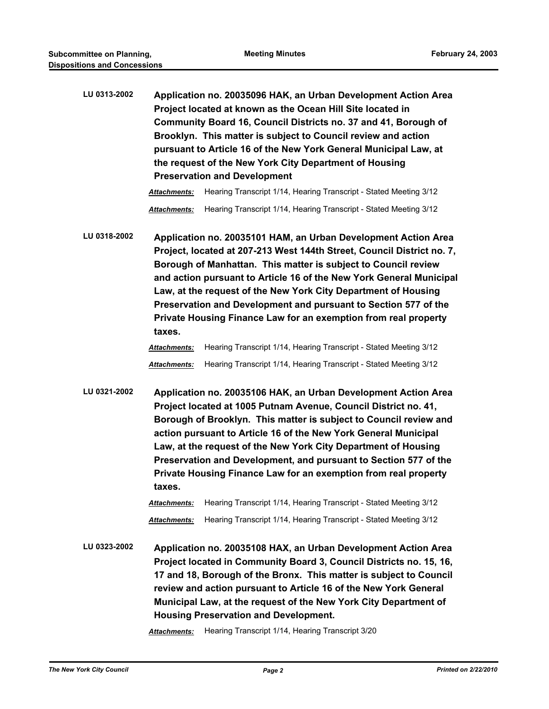| LU 0313-2002 | Application no. 20035096 HAK, an Urban Development Action Area   |  |  |  |
|--------------|------------------------------------------------------------------|--|--|--|
|              | Project located at known as the Ocean Hill Site located in       |  |  |  |
|              | Community Board 16, Council Districts no. 37 and 41, Borough of  |  |  |  |
|              | Brooklyn. This matter is subject to Council review and action    |  |  |  |
|              | pursuant to Article 16 of the New York General Municipal Law, at |  |  |  |
|              | the request of the New York City Department of Housing           |  |  |  |
|              | <b>Preservation and Development</b>                              |  |  |  |
|              |                                                                  |  |  |  |

*Attachments:* Hearing Transcript 1/14, Hearing Transcript - Stated Meeting 3/12 *Attachments:* Hearing Transcript 1/14, Hearing Transcript - Stated Meeting 3/12

**LU 0318-2002 Application no. 20035101 HAM, an Urban Development Action Area Project, located at 207-213 West 144th Street, Council District no. 7, Borough of Manhattan. This matter is subject to Council review and action pursuant to Article 16 of the New York General Municipal Law, at the request of the New York City Department of Housing Preservation and Development and pursuant to Section 577 of the Private Housing Finance Law for an exemption from real property taxes.**

## *Attachments:* Hearing Transcript 1/14, Hearing Transcript - Stated Meeting 3/12 *Attachments:* Hearing Transcript 1/14, Hearing Transcript - Stated Meeting 3/12

**LU 0321-2002 Application no. 20035106 HAK, an Urban Development Action Area Project located at 1005 Putnam Avenue, Council District no. 41, Borough of Brooklyn. This matter is subject to Council review and action pursuant to Article 16 of the New York General Municipal Law, at the request of the New York City Department of Housing Preservation and Development, and pursuant to Section 577 of the Private Housing Finance Law for an exemption from real property taxes.**

> *Attachments:* Hearing Transcript 1/14, Hearing Transcript - Stated Meeting 3/12 *Attachments:* Hearing Transcript 1/14, Hearing Transcript - Stated Meeting 3/12

**LU 0323-2002 Application no. 20035108 HAX, an Urban Development Action Area Project located in Community Board 3, Council Districts no. 15, 16, 17 and 18, Borough of the Bronx. This matter is subject to Council review and action pursuant to Article 16 of the New York General Municipal Law, at the request of the New York City Department of Housing Preservation and Development.**

*Attachments:* Hearing Transcript 1/14, Hearing Transcript 3/20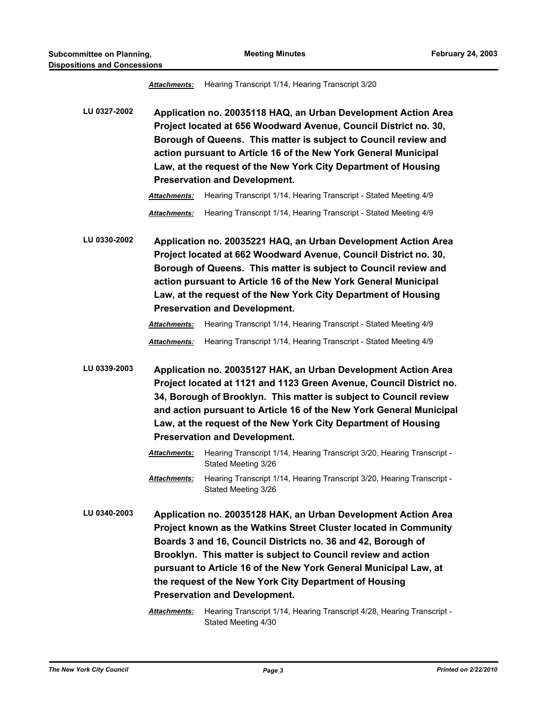*Attachments:* Hearing Transcript 1/14, Hearing Transcript 3/20

**LU 0327-2002 Application no. 20035118 HAQ, an Urban Development Action Area Project located at 656 Woodward Avenue, Council District no. 30, Borough of Queens. This matter is subject to Council review and action pursuant to Article 16 of the New York General Municipal Law, at the request of the New York City Department of Housing Preservation and Development.**

*Attachments:* Hearing Transcript 1/14, Hearing Transcript - Stated Meeting 4/9 *Attachments:* Hearing Transcript 1/14, Hearing Transcript - Stated Meeting 4/9

**LU 0330-2002 Application no. 20035221 HAQ, an Urban Development Action Area Project located at 662 Woodward Avenue, Council District no. 30, Borough of Queens. This matter is subject to Council review and action pursuant to Article 16 of the New York General Municipal Law, at the request of the New York City Department of Housing Preservation and Development.**

## *Attachments:* Hearing Transcript 1/14, Hearing Transcript - Stated Meeting 4/9

*Attachments:* Hearing Transcript 1/14, Hearing Transcript - Stated Meeting 4/9

**LU 0339-2003 Application no. 20035127 HAK, an Urban Development Action Area Project located at 1121 and 1123 Green Avenue, Council District no. 34, Borough of Brooklyn. This matter is subject to Council review and action pursuant to Article 16 of the New York General Municipal Law, at the request of the New York City Department of Housing Preservation and Development.**

> *Attachments:* Hearing Transcript 1/14, Hearing Transcript 3/20, Hearing Transcript - Stated Meeting 3/26

**LU 0340-2003 Application no. 20035128 HAK, an Urban Development Action Area Project known as the Watkins Street Cluster located in Community Boards 3 and 16, Council Districts no. 36 and 42, Borough of Brooklyn. This matter is subject to Council review and action pursuant to Article 16 of the New York General Municipal Law, at the request of the New York City Department of Housing Preservation and Development.**

> *Attachments:* Hearing Transcript 1/14, Hearing Transcript 4/28, Hearing Transcript - Stated Meeting 4/30

*Attachments:* Hearing Transcript 1/14, Hearing Transcript 3/20, Hearing Transcript - Stated Meeting 3/26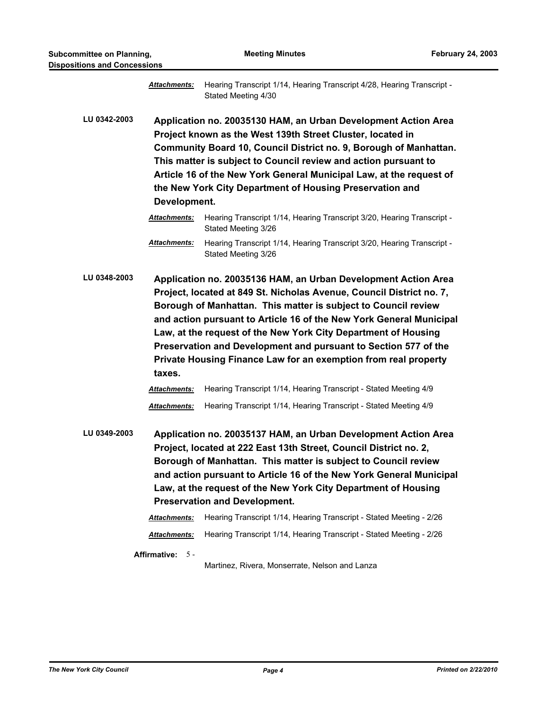| sitions and Concessions |                                                                                                                                                                                                                                                                                                                                                                                                                                                                                                   |                                                                                                                                                                                                                                                                                                                                                                                        |  |  |
|-------------------------|---------------------------------------------------------------------------------------------------------------------------------------------------------------------------------------------------------------------------------------------------------------------------------------------------------------------------------------------------------------------------------------------------------------------------------------------------------------------------------------------------|----------------------------------------------------------------------------------------------------------------------------------------------------------------------------------------------------------------------------------------------------------------------------------------------------------------------------------------------------------------------------------------|--|--|
|                         | <b>Attachments:</b>                                                                                                                                                                                                                                                                                                                                                                                                                                                                               | Hearing Transcript 1/14, Hearing Transcript 4/28, Hearing Transcript -<br>Stated Meeting 4/30                                                                                                                                                                                                                                                                                          |  |  |
| LU 0342-2003            | Application no. 20035130 HAM, an Urban Development Action Area<br>Project known as the West 139th Street Cluster, located in<br>Community Board 10, Council District no. 9, Borough of Manhattan.<br>This matter is subject to Council review and action pursuant to<br>Article 16 of the New York General Municipal Law, at the request of<br>the New York City Department of Housing Preservation and<br>Development.                                                                           |                                                                                                                                                                                                                                                                                                                                                                                        |  |  |
|                         | <b>Attachments:</b>                                                                                                                                                                                                                                                                                                                                                                                                                                                                               | Hearing Transcript 1/14, Hearing Transcript 3/20, Hearing Transcript -<br>Stated Meeting 3/26                                                                                                                                                                                                                                                                                          |  |  |
|                         | Attachments:                                                                                                                                                                                                                                                                                                                                                                                                                                                                                      | Hearing Transcript 1/14, Hearing Transcript 3/20, Hearing Transcript -<br>Stated Meeting 3/26                                                                                                                                                                                                                                                                                          |  |  |
| LU 0348-2003            | Application no. 20035136 HAM, an Urban Development Action Area<br>Project, located at 849 St. Nicholas Avenue, Council District no. 7,<br>Borough of Manhattan. This matter is subject to Council review<br>and action pursuant to Article 16 of the New York General Municipal<br>Law, at the request of the New York City Department of Housing<br>Preservation and Development and pursuant to Section 577 of the<br>Private Housing Finance Law for an exemption from real property<br>taxes. |                                                                                                                                                                                                                                                                                                                                                                                        |  |  |
|                         | Attachments:                                                                                                                                                                                                                                                                                                                                                                                                                                                                                      | Hearing Transcript 1/14, Hearing Transcript - Stated Meeting 4/9                                                                                                                                                                                                                                                                                                                       |  |  |
|                         | Attachments:                                                                                                                                                                                                                                                                                                                                                                                                                                                                                      | Hearing Transcript 1/14, Hearing Transcript - Stated Meeting 4/9                                                                                                                                                                                                                                                                                                                       |  |  |
| LU 0349-2003            |                                                                                                                                                                                                                                                                                                                                                                                                                                                                                                   | Application no. 20035137 HAM, an Urban Development Action Area<br>Project, located at 222 East 13th Street, Council District no. 2,<br>Borough of Manhattan. This matter is subject to Council review<br>and action pursuant to Article 16 of the New York General Municipal<br>Law, at the request of the New York City Department of Housing<br><b>Preservation and Development.</b> |  |  |
|                         | Attachments:<br>Attachments:                                                                                                                                                                                                                                                                                                                                                                                                                                                                      | Hearing Transcript 1/14, Hearing Transcript - Stated Meeting - 2/26<br>Hearing Transcript 1/14, Hearing Transcript - Stated Meeting - 2/26                                                                                                                                                                                                                                             |  |  |
|                         | Affirmative: 5-                                                                                                                                                                                                                                                                                                                                                                                                                                                                                   | Martinez, Rivera, Monserrate, Nelson and Lanza                                                                                                                                                                                                                                                                                                                                         |  |  |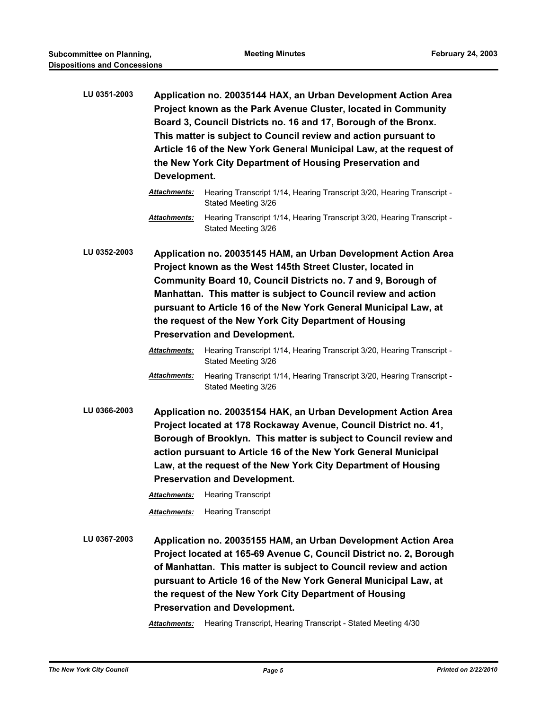**LU 0351-2003 Application no. 20035144 HAX, an Urban Development Action Area Project known as the Park Avenue Cluster, located in Community Board 3, Council Districts no. 16 and 17, Borough of the Bronx. This matter is subject to Council review and action pursuant to Article 16 of the New York General Municipal Law, at the request of the New York City Department of Housing Preservation and Development.**

**LU 0352-2003 Application no. 20035145 HAM, an Urban Development Action Area Project known as the West 145th Street Cluster, located in Community Board 10, Council Districts no. 7 and 9, Borough of Manhattan. This matter is subject to Council review and action pursuant to Article 16 of the New York General Municipal Law, at the request of the New York City Department of Housing Preservation and Development.**

> *Attachments:* Hearing Transcript 1/14, Hearing Transcript 3/20, Hearing Transcript - Stated Meeting 3/26

> *Attachments:* Hearing Transcript 1/14, Hearing Transcript 3/20, Hearing Transcript - Stated Meeting 3/26

**LU 0366-2003 Application no. 20035154 HAK, an Urban Development Action Area Project located at 178 Rockaway Avenue, Council District no. 41, Borough of Brooklyn. This matter is subject to Council review and action pursuant to Article 16 of the New York General Municipal Law, at the request of the New York City Department of Housing Preservation and Development.**

*Attachments:* Hearing Transcript

*Attachments:* Hearing Transcript

**LU 0367-2003 Application no. 20035155 HAM, an Urban Development Action Area Project located at 165-69 Avenue C, Council District no. 2, Borough of Manhattan. This matter is subject to Council review and action pursuant to Article 16 of the New York General Municipal Law, at the request of the New York City Department of Housing Preservation and Development.**

*Attachments:* Hearing Transcript, Hearing Transcript - Stated Meeting 4/30

*Attachments:* Hearing Transcript 1/14, Hearing Transcript 3/20, Hearing Transcript - Stated Meeting 3/26

*Attachments:* Hearing Transcript 1/14, Hearing Transcript 3/20, Hearing Transcript - Stated Meeting 3/26